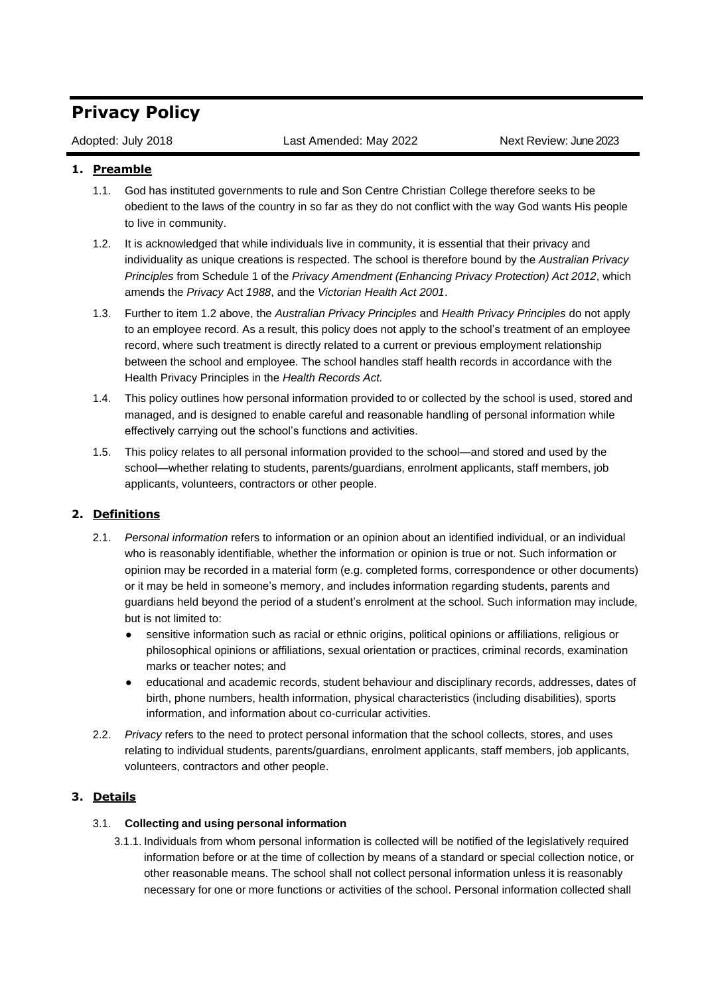# **Privacy Policy**

Adopted: July 2018 Last Amended: May 2022 Next Review: June 2023

# **1. Preamble**

- 1.1. God has instituted governments to rule and Son Centre Christian College therefore seeks to be obedient to the laws of the country in so far as they do not conflict with the way God wants His people to live in community.
- 1.2. It is acknowledged that while individuals live in community, it is essential that their privacy and individuality as unique creations is respected. The school is therefore bound by the *Australian Privacy Principles* from Schedule 1 of the *Privacy Amendment (Enhancing Privacy Protection) Act 2012*, which amends the *Privacy* Act *1988*, and the *Victorian Health Act 2001*.
- 1.3. Further to item 1.2 above, the *Australian Privacy Principles* and *Health Privacy Principles* do not apply to an employee record. As a result, this policy does not apply to the school's treatment of an employee record, where such treatment is directly related to a current or previous employment relationship between the school and employee. The school handles staff health records in accordance with the Health Privacy Principles in the *Health Records Act.*
- 1.4. This policy outlines how personal information provided to or collected by the school is used, stored and managed, and is designed to enable careful and reasonable handling of personal information while effectively carrying out the school's functions and activities.
- 1.5. This policy relates to all personal information provided to the school—and stored and used by the school—whether relating to students, parents/guardians, enrolment applicants, staff members, job applicants, volunteers, contractors or other people.

# **2. Definitions**

- 2.1. *Personal information* refers to information or an opinion about an identified individual, or an individual who is reasonably identifiable, whether the information or opinion is true or not. Such information or opinion may be recorded in a material form (e.g. completed forms, correspondence or other documents) or it may be held in someone's memory, and includes information regarding students, parents and guardians held beyond the period of a student's enrolment at the school. Such information may include, but is not limited to:
	- sensitive information such as racial or ethnic origins, political opinions or affiliations, religious or philosophical opinions or affiliations, sexual orientation or practices, criminal records, examination marks or teacher notes; and
	- educational and academic records, student behaviour and disciplinary records, addresses, dates of birth, phone numbers, health information, physical characteristics (including disabilities), sports information, and information about co-curricular activities.
- 2.2. *Privacy* refers to the need to protect personal information that the school collects, stores, and uses relating to individual students, parents/guardians, enrolment applicants, staff members, job applicants, volunteers, contractors and other people.

# **3. Details**

## 3.1. **Collecting and using personal information**

3.1.1. Individuals from whom personal information is collected will be notified of the legislatively required information before or at the time of collection by means of a standard or special collection notice, or other reasonable means. The school shall not collect personal information unless it is reasonably necessary for one or more functions or activities of the school. Personal information collected shall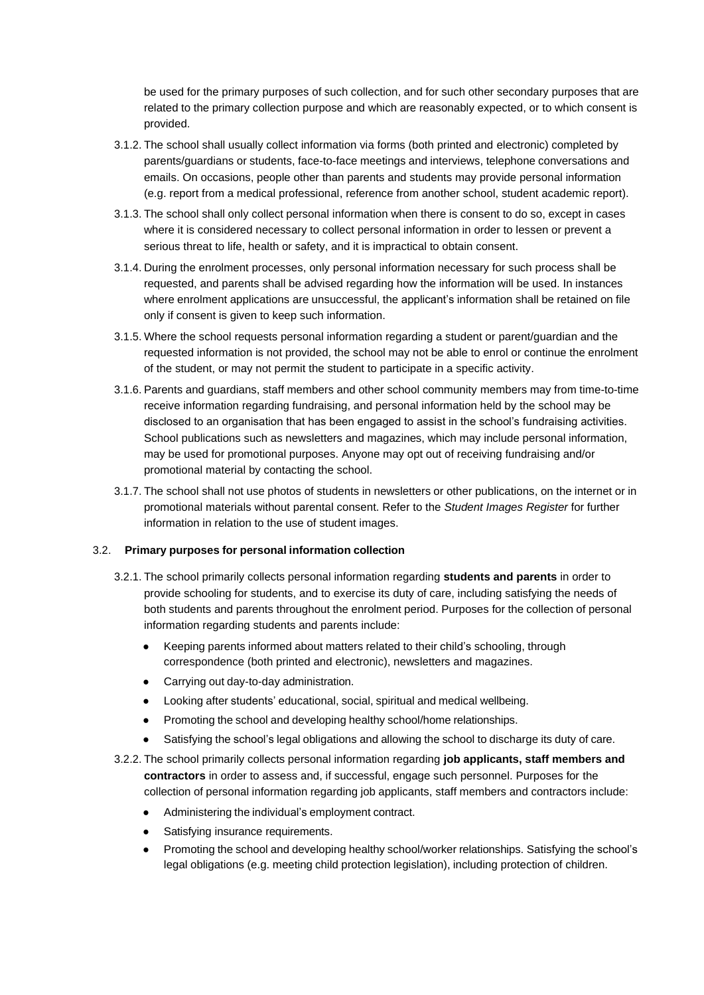be used for the primary purposes of such collection, and for such other secondary purposes that are related to the primary collection purpose and which are reasonably expected, or to which consent is provided.

- 3.1.2. The school shall usually collect information via forms (both printed and electronic) completed by parents/guardians or students, face-to-face meetings and interviews, telephone conversations and emails. On occasions, people other than parents and students may provide personal information (e.g. report from a medical professional, reference from another school, student academic report).
- 3.1.3. The school shall only collect personal information when there is consent to do so, except in cases where it is considered necessary to collect personal information in order to lessen or prevent a serious threat to life, health or safety, and it is impractical to obtain consent.
- 3.1.4. During the enrolment processes, only personal information necessary for such process shall be requested, and parents shall be advised regarding how the information will be used. In instances where enrolment applications are unsuccessful, the applicant's information shall be retained on file only if consent is given to keep such information.
- 3.1.5. Where the school requests personal information regarding a student or parent/guardian and the requested information is not provided, the school may not be able to enrol or continue the enrolment of the student, or may not permit the student to participate in a specific activity.
- 3.1.6. Parents and guardians, staff members and other school community members may from time-to-time receive information regarding fundraising, and personal information held by the school may be disclosed to an organisation that has been engaged to assist in the school's fundraising activities. School publications such as newsletters and magazines, which may include personal information, may be used for promotional purposes. Anyone may opt out of receiving fundraising and/or promotional material by contacting the school.
- 3.1.7. The school shall not use photos of students in newsletters or other publications, on the internet or in promotional materials without parental consent. Refer to the *Student Images Register* for further information in relation to the use of student images.

#### 3.2. **Primary purposes for personal information collection**

- 3.2.1. The school primarily collects personal information regarding **students and parents** in order to provide schooling for students, and to exercise its duty of care, including satisfying the needs of both students and parents throughout the enrolment period. Purposes for the collection of personal information regarding students and parents include:
	- Keeping parents informed about matters related to their child's schooling, through correspondence (both printed and electronic), newsletters and magazines.
	- Carrying out day-to-day administration.
	- Looking after students' educational, social, spiritual and medical wellbeing.
	- Promoting the school and developing healthy school/home relationships.
	- Satisfying the school's legal obligations and allowing the school to discharge its duty of care.
- 3.2.2. The school primarily collects personal information regarding **job applicants, staff members and contractors** in order to assess and, if successful, engage such personnel. Purposes for the collection of personal information regarding job applicants, staff members and contractors include:
	- Administering the individual's employment contract.
	- Satisfying insurance requirements.
	- Promoting the school and developing healthy school/worker relationships. Satisfying the school's legal obligations (e.g. meeting child protection legislation), including protection of children.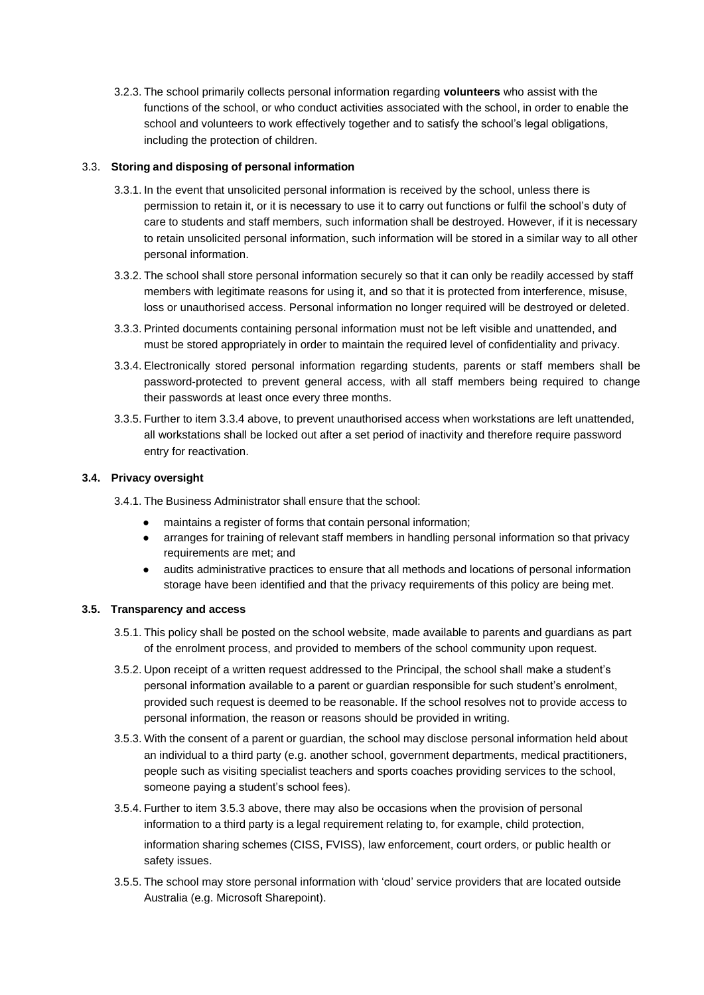3.2.3. The school primarily collects personal information regarding **volunteers** who assist with the functions of the school, or who conduct activities associated with the school, in order to enable the school and volunteers to work effectively together and to satisfy the school's legal obligations, including the protection of children.

## 3.3. **Storing and disposing of personal information**

- 3.3.1. In the event that unsolicited personal information is received by the school, unless there is permission to retain it, or it is necessary to use it to carry out functions or fulfil the school's duty of care to students and staff members, such information shall be destroyed. However, if it is necessary to retain unsolicited personal information, such information will be stored in a similar way to all other personal information.
- 3.3.2. The school shall store personal information securely so that it can only be readily accessed by staff members with legitimate reasons for using it, and so that it is protected from interference, misuse, loss or unauthorised access. Personal information no longer required will be destroyed or deleted.
- 3.3.3. Printed documents containing personal information must not be left visible and unattended, and must be stored appropriately in order to maintain the required level of confidentiality and privacy.
- 3.3.4. Electronically stored personal information regarding students, parents or staff members shall be password-protected to prevent general access, with all staff members being required to change their passwords at least once every three months.
- 3.3.5. Further to item 3.3.4 above, to prevent unauthorised access when workstations are left unattended, all workstations shall be locked out after a set period of inactivity and therefore require password entry for reactivation.

## **3.4. Privacy oversight**

3.4.1. The Business Administrator shall ensure that the school:

- maintains a register of forms that contain personal information;
- arranges for training of relevant staff members in handling personal information so that privacy requirements are met; and
- audits administrative practices to ensure that all methods and locations of personal information storage have been identified and that the privacy requirements of this policy are being met.

#### **3.5. Transparency and access**

- 3.5.1. This policy shall be posted on the school website, made available to parents and guardians as part of the enrolment process, and provided to members of the school community upon request.
- 3.5.2. Upon receipt of a written request addressed to the Principal, the school shall make a student's personal information available to a parent or guardian responsible for such student's enrolment, provided such request is deemed to be reasonable. If the school resolves not to provide access to personal information, the reason or reasons should be provided in writing.
- 3.5.3. With the consent of a parent or guardian, the school may disclose personal information held about an individual to a third party (e.g. another school, government departments, medical practitioners, people such as visiting specialist teachers and sports coaches providing services to the school, someone paying a student's school fees).
- 3.5.4. Further to item 3.5.3 above, there may also be occasions when the provision of personal information to a third party is a legal requirement relating to, for example, child protection, information sharing schemes (CISS, FVISS), law enforcement, court orders, or public health or safety issues.
- 3.5.5. The school may store personal information with 'cloud' service providers that are located outside Australia (e.g. Microsoft Sharepoint).